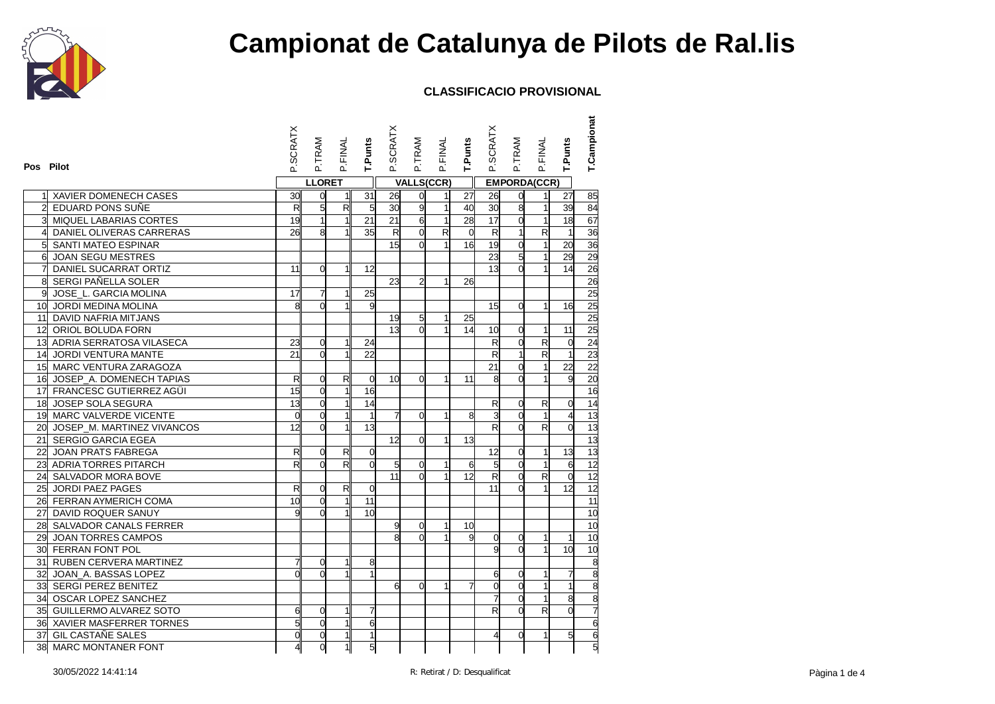

| Pos Pilot      |                               | <b>SCRATX</b>   | P.TRAM         | P.FINAL      | T.Punts         | P.SCRATX        | P.TRAM         | P.FINAL                 | T.Punts        | P.SCRATX                | P.TRAM              | P.FINAL                 | <b>T.Punts</b>  | T.Campionat     |
|----------------|-------------------------------|-----------------|----------------|--------------|-----------------|-----------------|----------------|-------------------------|----------------|-------------------------|---------------------|-------------------------|-----------------|-----------------|
|                |                               |                 | <b>LLORET</b>  |              |                 |                 |                | <b>VALLS(CCR)</b>       |                |                         | <b>EMPORDA(CCR)</b> |                         |                 |                 |
|                | XAVIER DOMENECH CASES         | 30              | $\overline{0}$ | $\mathbf{1}$ | 31              | 26              | 0              | 1                       | 27             | 26                      | $\mathbf 0$         | 11                      | 27              | 85              |
| 2              | EDUARD PONS SUÑE              | $\mathsf{R}$    | 5              | R            | 5               | 30              | 9              | $\mathbf{1}$            | 40             | 30                      | $\overline{8}$      | 1                       | 39              | 84              |
|                | <b>MIQUEL LABARIAS CORTES</b> | 19              | $\mathbf{1}$   |              | 21              | 21              | 6              | $\overline{1}$          | 28             | 17                      | $\overline{0}$      | $\mathbf{1}$            | 18              | 67              |
| 4              | DANIEL OLIVERAS CARRERAS      | 26              | 8              | $\mathbf{1}$ | 35              | R               | $\overline{0}$ | $\overline{\mathbf{z}}$ | $\overline{0}$ | $\mathsf{R}$            | $\mathbf{1}$        | $\overline{\mathbf{z}}$ | $\overline{1}$  | 36              |
| 5 <sup>1</sup> | SANTI MATEO ESPINAR           |                 |                |              |                 | 15              | $\overline{0}$ | $\mathbf{1}$            | 16             | 19                      | $\overline{0}$      | $\mathbf{1}$            | $\overline{20}$ | 36              |
| 6              | <b>JOAN SEGU MESTRES</b>      |                 |                |              |                 |                 |                |                         |                | 23                      | 5                   | $\mathbf{1}$            | 29              | 29              |
| 7              | DANIEL SUCARRAT ORTIZ         | 11              | $\overline{0}$ | $\mathbf{1}$ | 12              |                 |                |                         |                | 13                      | $\Omega$            | 1                       | 14              | 26              |
| 8              | SERGI PAÑELLA SOLER           |                 |                |              |                 | 23              | $\overline{a}$ | $\mathbf{1}$            | 26             |                         |                     |                         |                 | 26              |
| 9              | JOSE_L. GARCIA MOLINA         | 17              | $\overline{7}$ |              | $\overline{25}$ |                 |                |                         |                |                         |                     |                         |                 | 25              |
|                | 10 JORDI MEDINA MOLINA        | 8               | $\Omega$       |              | 9               |                 |                |                         |                | 15                      | $\Omega$            | 1                       | 16              | 25              |
|                | 11 DAVID NAFRIA MITJANS       |                 |                |              |                 | 19              | 5              | 1                       | 25             |                         |                     |                         |                 | 25              |
|                | 12 ORIOL BOLUDA FORN          |                 |                |              |                 | 13              | $\Omega$       | $\mathbf{1}$            | 14             | 10                      | $\overline{0}$      | 1                       | 11              | 25              |
|                | 13 ADRIA SERRATOSA VILASECA   | 23              | $\overline{0}$ | $\mathbf{1}$ | 24              |                 |                |                         |                | $\overline{\mathsf{R}}$ | $\overline{0}$      | $\overline{\mathsf{R}}$ | $\mathbf 0$     |                 |
| 14             | JORDI VENTURA MANTE           | 21              | $\Omega$       |              | 22              |                 |                |                         |                | R                       | $\mathbf{1}$        | $\overline{\mathsf{R}}$ | $\overline{1}$  | $\frac{24}{23}$ |
|                | 15 MARC VENTURA ZARAGOZA      |                 |                |              |                 |                 |                |                         |                | 21                      | $\overline{0}$      | 1                       | 22              | $\overline{22}$ |
|                | 16 JOSEP_A. DOMENECH TAPIAS   | $\mathsf{R}$    | $\Omega$       | R            | $\overline{0}$  | 10 <sup>1</sup> | $\Omega$       | 1                       | 11             | 8                       | $\Omega$            |                         | g               | $\overline{20}$ |
|                | 17 FRANCESC GUTIERREZ AGÜI    | 15              | $\overline{0}$ |              | 16              |                 |                |                         |                |                         |                     |                         |                 | 16              |
|                | 18 JOSEP SOLA SEGURA          | 13              | $\mathbf 0$    |              | 14              |                 |                |                         |                | R                       | $\mathbf 0$         | R                       | $\mathbf 0$     | 14              |
|                | 19 MARC VALVERDE VICENTE      | $\Omega$        | $\Omega$       |              | $\overline{1}$  | 게               | $\Omega$       | 1                       | 8              | ვ                       | $\Omega$            | $\mathbf{1}$            | $\overline{4}$  | 13              |
|                | 20 JOSEP_M. MARTINEZ VIVANCOS | 12              | $\overline{0}$ | $\mathbf{1}$ | $\overline{a}$  |                 |                |                         |                | $\mathsf{R}$            | $\mathbf 0$         | $\overline{R}$          | $\mathbf 0$     | 13              |
|                | 21 SERGIO GARCIA EGEA         |                 |                |              |                 | 12              | $\overline{0}$ | $\mathbf{1}$            | 13             |                         |                     |                         |                 | 13              |
|                | 22 JOAN PRATS FABREGA         | $\mathsf{R}$    | $\mathbf 0$    | R            | $\mathbf 0$     |                 |                |                         |                | 12                      | $\overline{0}$      | 1                       | 13              | $\overline{13}$ |
|                | 23 ADRIA TORRES PITARCH       | R               | $\Omega$       | R            | $\Omega$        | 5 <sup>1</sup>  | $\Omega$       | $\mathbf{1}$            | 6              | $\overline{5}$          | $\overline{0}$      | $\mathbf{1}$            | 6               | 12              |
|                | 24 SALVADOR MORA BOVE         |                 |                |              |                 | 11              | $\Omega$       |                         | 12             | $\overline{\mathsf{R}}$ | $\overline{0}$      | $\overline{\mathsf{R}}$ | $\mathbf 0$     | 12              |
|                | 25 JORDI PAEZ PAGES           | $\mathsf{R}$    | $\overline{0}$ | $\mathsf{R}$ | $\mathbf 0$     |                 |                |                         |                | 11                      | $\Omega$            | $\mathbf{1}$            | 12              | 12              |
|                | 26 FERRAN AYMERICH COMA       | $\overline{10}$ | $\overline{0}$ |              | $\overline{11}$ |                 |                |                         |                |                         |                     |                         |                 | 11              |
|                | 27 DAVID ROQUER SANUY         |                 | $\Omega$       |              | 10              |                 |                |                         |                |                         |                     |                         |                 | 10              |
|                | 28 SALVADOR CANALS FERRER     |                 |                |              |                 | g               | 0              | 1                       | 10             |                         |                     |                         |                 | 10              |
|                | 29 JOAN TORRES CAMPOS         |                 |                |              |                 | ۶ľ              | $\Omega$       |                         | 9              | <sub>0</sub>            | $\Omega$            | 1                       | $\mathbf{1}$    | 10              |
|                | 30 FERRAN FONT POL            |                 |                |              |                 |                 |                |                         |                | g                       | $\Omega$            | 1                       | 10              | 10              |
|                | 31 RUBEN CERVERA MARTINEZ     | 7               | $\overline{0}$ | 1            | 8               |                 |                |                         |                |                         |                     |                         |                 |                 |
|                | 32 JOAN A. BASSAS LOPEZ       | $\Omega$        | $\Omega$       |              | $\overline{1}$  |                 |                |                         |                | 6                       | $\Omega$            | $\mathbf{1}$            | $\overline{7}$  | $\frac{8}{8}$   |
|                | 33 SERGI PEREZ BENITEZ        |                 |                |              |                 | 6 <sup>1</sup>  | $\overline{0}$ | 1                       | 7              | d                       | $\overline{0}$      | $\mathbf{1}$            | $\overline{1}$  |                 |
|                | 34 OSCAR LOPEZ SANCHEZ        |                 |                |              |                 |                 |                |                         |                | 7                       | $\Omega$            | 1                       | 8               |                 |
|                | 35 GUILLERMO ALVAREZ SOTO     | 6               | 0              |              | 7               |                 |                |                         |                | R                       | $\overline{0}$      | R                       | $\Omega$        |                 |
|                | 36 XAVIER MASFERRER TORNES    | 5               | $\overline{0}$ | $\mathbf 1$  | 6               |                 |                |                         |                |                         |                     |                         |                 | $\overline{6}$  |
|                | 37 GIL CASTAÑE SALES          | $\mathbf 0$     | $\mathbf 0$    | $\mathbf{1}$ | 1               |                 |                |                         |                | 4                       | $\overline{0}$      | 1                       | 5               | $\overline{6}$  |
|                | 38 MARC MONTANER FONT         | 4               | $\overline{0}$ | 1            | 5               |                 |                |                         |                |                         |                     |                         |                 | $\overline{5}$  |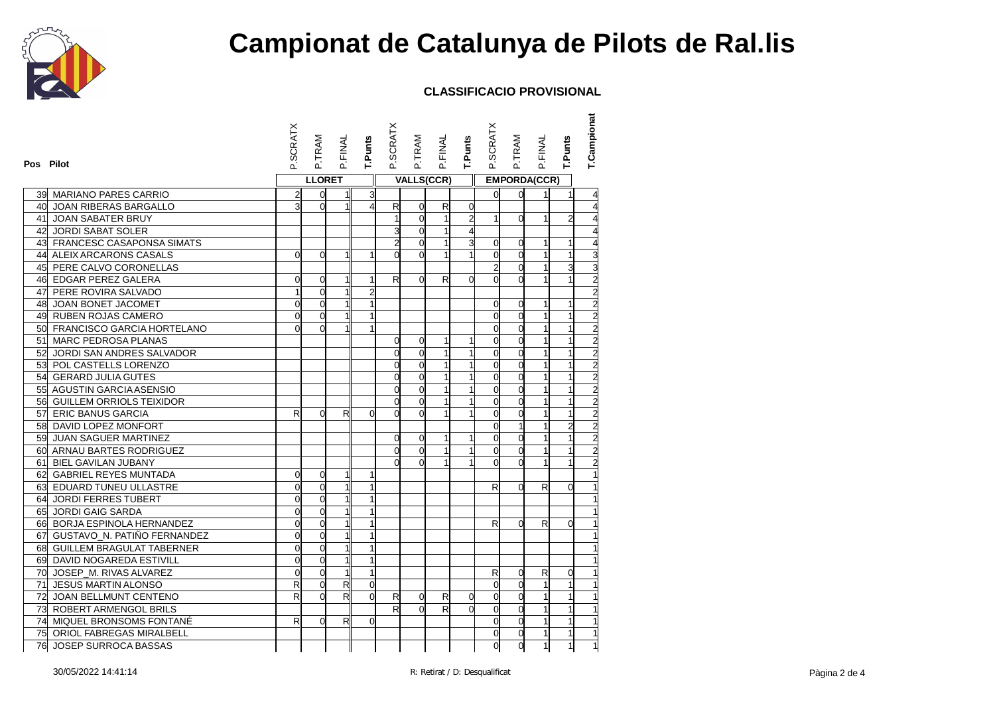

| Pos Pilot |                                | P.SCRATX       | P.TRAM         | P.FINAL                 | T.Punts        | P.SCRATX       | P.TRAM         | P.FINAL           | T.Punts        | P.SCRATX       | P.TRAM              | P.FINAL      | T.Punts        | T.Campionat                                               |
|-----------|--------------------------------|----------------|----------------|-------------------------|----------------|----------------|----------------|-------------------|----------------|----------------|---------------------|--------------|----------------|-----------------------------------------------------------|
|           |                                |                | <b>LLORET</b>  |                         |                |                |                | <b>VALLS(CCR)</b> |                |                | <b>EMPORDA(CCR)</b> |              |                |                                                           |
|           | 39  MARIANO PARES CARRIO       | $\overline{2}$ | $\overline{0}$ | 11                      | 3              |                |                |                   |                | $\mathsf{d}$   | $\Omega$            | 11           | $\mathbf{1}$   |                                                           |
|           | 40 JOAN RIBERAS BARGALLO       | 3              | $\Omega$       | $\mathbf 1$             | $\overline{4}$ | $\mathsf{R}$   | 0              | R                 | 0              |                |                     |              |                |                                                           |
|           | 41 JOAN SABATER BRUY           |                |                |                         |                |                | $\overline{0}$ | $\mathbf{1}$      | $\overline{c}$ | $\mathbf{1}$   | $\Omega$            |              | $\overline{2}$ |                                                           |
|           | 42 JORDI SABAT SOLER           |                |                |                         |                | 3              | $\overline{0}$ | $\mathbf{1}$      | 4              |                |                     |              |                |                                                           |
|           | 43 FRANCESC CASAPONSA SIMATS   |                |                |                         |                | 2              | $\Omega$       | 1                 | 3              | 0              | $\Omega$            |              | 1              |                                                           |
|           | 44 ALEIX ARCARONS CASALS       | $\overline{0}$ | $\Omega$       | $\mathbf{1}$            | $\mathbf{1}$   | $\mathbf{0}$   | $\overline{0}$ | $\mathbf{1}$      | 1              | $\mathsf{d}$   | $\Omega$            |              | $\mathbf{1}$   | 3                                                         |
|           | 45 PERE CALVO CORONELLAS       |                |                |                         |                |                |                |                   |                | $\overline{a}$ | $\Omega$            |              | 3              |                                                           |
|           | 46 EDGAR PEREZ GALERA          | $\Omega$       | $\overline{0}$ | 1                       | 1              | R              | $\Omega$       | R                 | $\Omega$       | $\Omega$       | $\Omega$            |              |                |                                                           |
|           | 47 PERE ROVIRA SALVADO         | $\mathbf{1}$   | $\overline{0}$ | $\mathbf{1}$            | $\overline{a}$ |                |                |                   |                |                |                     |              |                | $\frac{2}{2}$                                             |
|           | 48 JOAN BONET JACOMET          | $\Omega$       | $\Omega$       | 1                       |                |                |                |                   |                | O              | $\Omega$            | 1            | $\mathbf{1}$   |                                                           |
|           | 49 RUBEN ROJAS CAMERO          | $\Omega$       | $\overline{0}$ | 1                       | 1              |                |                |                   |                | $\mathbf{0}$   | $\Omega$            |              | $\mathbf{1}$   |                                                           |
|           | 50 FRANCISCO GARCIA HORTELANO  | $\Omega$       | $\Omega$       | 1                       | $\mathbf{1}$   |                |                |                   |                | $\mathsf{d}$   | $\Omega$            |              | $\mathbf{1}$   | $\frac{2}{2}$                                             |
|           | 51 MARC PEDROSA PLANAS         |                |                |                         |                | $\Omega$       | 0              | 1                 | 1              | d              | $\Omega$            |              | $\mathbf{1}$   |                                                           |
|           | 52 JORDI SAN ANDRES SALVADOR   |                |                |                         |                | $\mathbf{0}$   | $\overline{0}$ | 1                 | $\mathbf{1}$   | $\mathsf{O}$   | $\Omega$            |              | $\mathbf{1}$   | $\overline{2}$                                            |
|           | 53 POL CASTELLS LORENZO        |                |                |                         |                | $\Omega$       | $\overline{0}$ | 1                 | 1              | $\mathsf{O}$   | $\Omega$            |              | $\mathbf{1}$   | $\overline{a}$                                            |
|           | 54 GERARD JULIA GUTES          |                |                |                         |                | $\Omega$       | 0              | 1                 | 1              | d              | $\Omega$            |              | $\mathbf{1}$   |                                                           |
|           | 55 AGUSTIN GARCIA ASENSIO      |                |                |                         |                | O              | $\overline{0}$ | 1                 | 1              | 0              | $\Omega$            |              | $\mathbf{1}$   |                                                           |
|           | 56 GUILLEM ORRIOLS TEIXIDOR    |                |                |                         |                | $\Omega$       | 0              | 1                 | $\mathbf{1}$   | $\mathsf{d}$   | $\Omega$            | 1            | $\mathbf{1}$   | $\begin{array}{c c}\n2 & 2 & 2 \\ 2 & 2 & 2\n\end{array}$ |
|           | 57 ERIC BANUS GARCIA           | $\mathsf{R}$   | $\Omega$       | R                       | $\Omega$       | $\mathbf{0}$   | $\Omega$       | 1                 | 1              | $\mathbf{0}$   | $\Omega$            |              | $\mathbf{1}$   |                                                           |
|           | 58 DAVID LOPEZ MONFORT         |                |                |                         |                |                |                |                   |                | $\overline{O}$ |                     |              | $\overline{a}$ |                                                           |
|           | 59 JUAN SAGUER MARTINEZ        |                |                |                         |                | $\overline{0}$ | 0              | $\mathbf{1}$      | 1              | $\mathsf{d}$   | $\Omega$            | 1            | $\mathbf{1}$   |                                                           |
|           | 60 ARNAU BARTES RODRIGUEZ      |                |                |                         |                | $\mathsf{d}$   | 0              | 1                 | $\mathbf{1}$   | $\mathsf{d}$   | $\mathbf 0$         |              | $\mathbf{1}$   |                                                           |
|           | 61 BIEL GAVILAN JUBANY         |                |                |                         |                | <sub>0</sub>   | $\Omega$       | $\mathbf{1}$      |                | $\Omega$       | $\Omega$            |              | $\overline{1}$ |                                                           |
|           | 62 GABRIEL REYES MUNTADA       | $\overline{0}$ | $\overline{0}$ | $\mathbf{1}$            | 1              |                |                |                   |                |                |                     |              |                |                                                           |
|           | 63 EDUARD TUNEU ULLASTRE       | $\Omega$       | $\overline{0}$ | $\mathbf{1}$            | $\mathbf{1}$   |                |                |                   |                | R              | $\Omega$            | $\mathsf{R}$ | $\overline{0}$ |                                                           |
|           | 64 JORDI FERRES TUBERT         | $\Omega$       | $\Omega$       | 1                       |                |                |                |                   |                |                |                     |              |                |                                                           |
|           | 65 JORDI GAIG SARDA            | $\overline{0}$ | $\overline{0}$ | 1                       | $\mathbf{1}$   |                |                |                   |                |                |                     |              |                |                                                           |
|           | 66 BORJA ESPINOLA HERNANDEZ    | $\mathbf 0$    | $\overline{0}$ |                         | 1              |                |                |                   |                | R              | $\Omega$            | R            | $\Omega$       |                                                           |
|           | 67 GUSTAVO_N. PATIÑO FERNANDEZ | $\overline{0}$ | $\Omega$       | 1                       | $\overline{1}$ |                |                |                   |                |                |                     |              |                |                                                           |
|           | 68 GUILLEM BRAGULAT TABERNER   | $\Omega$       | $\Omega$       |                         | $\overline{1}$ |                |                |                   |                |                |                     |              |                |                                                           |
|           | 69 DAVID NOGAREDA ESTIVILL     | $\overline{0}$ | $\overline{0}$ | 1                       | $\mathbf{1}$   |                |                |                   |                |                |                     |              |                |                                                           |
|           | 70 JOSEP_M. RIVAS ALVAREZ      | $\overline{0}$ | $\overline{0}$ | $\mathbf{1}$            | $\mathbf{1}$   |                |                |                   |                | $\mathsf{R}$   | $\Omega$            | R            | $\overline{0}$ |                                                           |
|           | 71 JESUS MARTIN ALONSO         | R              | $\overline{0}$ | $\overline{\mathbf{z}}$ | $\Omega$       |                |                |                   |                | <sub>0</sub>   | $\Omega$            |              | $\mathbf{1}$   |                                                           |
|           | 72 JOAN BELLMUNT CENTENO       | R              | $\Omega$       | $\mathsf{R}$            | $\Omega$       | R              | 0              | R                 | 0              | $\mathsf{d}$   | $\Omega$            |              | $\mathbf{1}$   |                                                           |
|           | 73 ROBERT ARMENGOL BRILS       |                |                |                         |                | $\mathsf{R}$   | $\Omega$       | R                 | $\Omega$       | $\mathbf{0}$   | $\Omega$            |              | $\mathbf{1}$   |                                                           |
|           | 74 MIQUEL BRONSOMS FONTANÉ     | R              | $\Omega$       | R                       | $\Omega$       |                |                |                   |                | $\overline{0}$ | $\overline{0}$      |              | $\mathbf{1}$   |                                                           |
|           | 75 ORIOL FABREGAS MIRALBELL    |                |                |                         |                |                |                |                   |                | d              | $\overline{0}$      | $\mathbf{1}$ | $\mathbf{1}$   |                                                           |
|           | 76 JOSEP SURROCA BASSAS        |                |                |                         |                |                |                |                   |                | d              | $\overline{0}$      | $\mathbf{1}$ | $\mathbf{1}$   |                                                           |
|           |                                |                |                |                         |                |                |                |                   |                |                |                     |              |                |                                                           |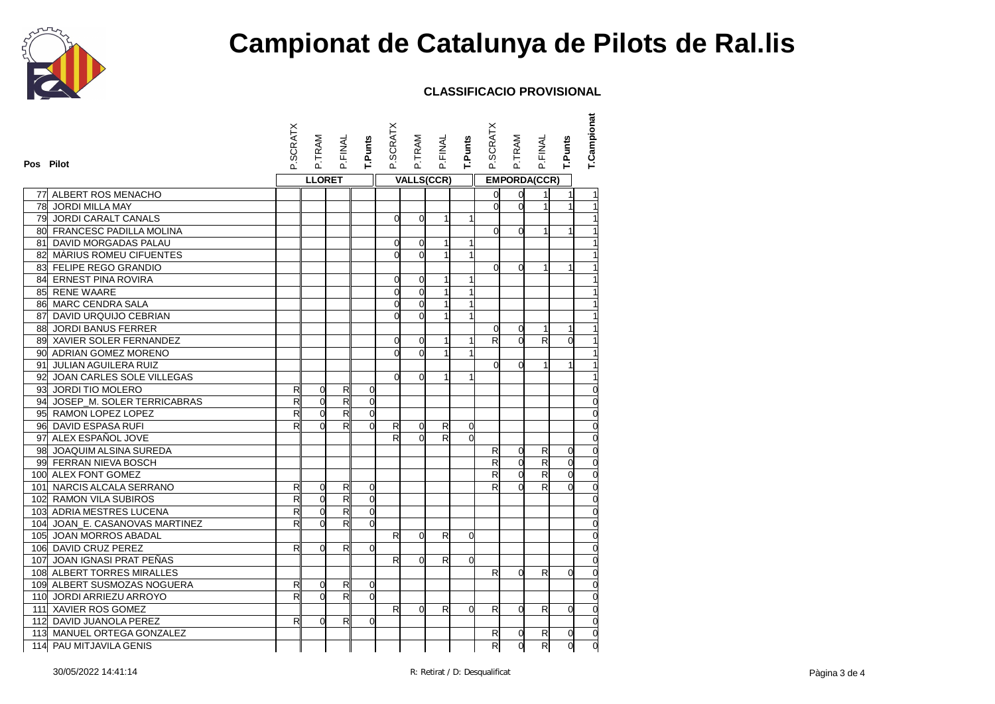

| Pos Pilot |                                | P.SCRATX       | P.TRAM         | P.FINAL                  | T.Punts        | <b>P.SCRATX</b> | P.TRAM            | <b>P.FINAL</b> | <b>T.Punts</b> | P.SCRATX                | P.TRAM              | <b>P.FINAL</b>          | T.Punts        | T.Campionat |
|-----------|--------------------------------|----------------|----------------|--------------------------|----------------|-----------------|-------------------|----------------|----------------|-------------------------|---------------------|-------------------------|----------------|-------------|
|           |                                |                | <b>LLORET</b>  |                          |                |                 | <b>VALLS(CCR)</b> |                |                |                         | <b>EMPORDA(CCR)</b> |                         |                |             |
|           | 77 ALBERT ROS MENACHO          |                |                |                          |                |                 |                   |                |                | $\overline{0}$          | $\overline{0}$      |                         | $\mathbf{1}$   |             |
|           | 78 JORDI MILLA MAY             |                |                |                          |                |                 |                   |                |                | $\mathbf{0}$            | $\Omega$            | $\mathbf{1}$            | 1              |             |
|           | 79 JORDI CARALT CANALS         |                |                |                          |                | 0               | $\overline{0}$    | 1              | 1              |                         |                     |                         |                |             |
|           | 80 FRANCESC PADILLA MOLINA     |                |                |                          |                |                 |                   |                |                | $\mathbf{0}$            | $\Omega$            | 1                       | 1              |             |
|           | 81 DAVID MORGADAS PALAU        |                |                |                          |                | 0               | $\overline{0}$    | $\mathbf{1}$   | 1              |                         |                     |                         |                |             |
|           | 82 MÀRIUS ROMEU CIFUENTES      |                |                |                          |                | d               | $\overline{0}$    | $\mathbf{1}$   | 1              |                         |                     |                         |                |             |
|           | 83 FELIPE REGO GRANDIO         |                |                |                          |                |                 |                   |                |                | d                       | $\Omega$            |                         | 1              |             |
|           | 84 ERNEST PINA ROVIRA          |                |                |                          |                | 0               | $\mathbf 0$       |                | 1              |                         |                     |                         |                |             |
|           | 85 RENE WAARE                  |                |                |                          |                | $\mathbf 0$     | $\mathbf 0$       | 1              | $\mathbf{1}$   |                         |                     |                         |                |             |
|           | 86 MARC CENDRA SALA            |                |                |                          |                | $\overline{0}$  | $\overline{0}$    | $\mathbf{1}$   | $\mathbf{1}$   |                         |                     |                         |                |             |
|           | 87 DAVID URQUIJO CEBRIAN       |                |                |                          |                | d               | $\Omega$          | 1              | $\mathbf{1}$   |                         |                     |                         |                |             |
|           | 88 JORDI BANUS FERRER          |                |                |                          |                |                 |                   |                |                | O                       | $\overline{0}$      | 1                       | 1              |             |
|           | 89 XAVIER SOLER FERNANDEZ      |                |                |                          |                | 0               | 0                 | 1              | 1              | $\mathsf{R}$            | $\Omega$            | R                       | $\Omega$       |             |
|           | 90 ADRIAN GOMEZ MORENO         |                |                |                          |                | d               | $\overline{0}$    | 1              | $\mathbf{1}$   |                         |                     |                         |                |             |
|           | 91 JULIAN AGUILERA RUIZ        |                |                |                          |                |                 |                   |                |                | <sub>0</sub>            | $\Omega$            |                         |                |             |
|           | 92 JOAN CARLES SOLE VILLEGAS   |                |                |                          |                | $\overline{0}$  | $\Omega$          | 1              | 1              |                         |                     |                         |                |             |
|           | 93 JORDI TIO MOLERO            | R              | $\overline{0}$ | $\mathsf{R}$             | 0              |                 |                   |                |                |                         |                     |                         |                |             |
|           | 94 JOSEP_M. SOLER TERRICABRAS  | R              | $\Omega$       | R                        | $\Omega$       |                 |                   |                |                |                         |                     |                         |                | $\Omega$    |
|           | 95 RAMON LOPEZ LOPEZ           | $\overline{R}$ | $\Omega$       | $\overline{\mathsf{R}}$  | $\Omega$       |                 |                   |                |                |                         |                     |                         |                |             |
|           | 96 DAVID ESPASA RUFI           | R              | $\Omega$       | R                        | $\Omega$       | R               | 0                 | R              | $\Omega$       |                         |                     |                         |                |             |
|           | 97 ALEX ESPAÑOL JOVE           |                |                |                          |                | R               | $\Omega$          | $\overline{z}$ | $\overline{0}$ |                         |                     |                         |                | $\Omega$    |
|           | 98 JOAQUIM ALSINA SUREDA       |                |                |                          |                |                 |                   |                |                | $\mathsf{R}$            | 0                   | $\mathsf{R}$            | $\overline{0}$ | $\mathbf 0$ |
|           | 99 FERRAN NIEVA BOSCH          |                |                |                          |                |                 |                   |                |                | $\overline{\mathsf{R}}$ | $\Omega$            | R                       | $\Omega$       | $\Omega$    |
|           | 100 ALEX FONT GOMEZ            |                |                |                          |                |                 |                   |                |                | $\mathsf{R}$            | $\Omega$            | $\overline{\mathbf{z}}$ | $\overline{0}$ | $\Omega$    |
|           | 101 NARCIS ALCALA SERRANO      | R              | $\Omega$       | R                        | $\mathbf 0$    |                 |                   |                |                | R                       | $\Omega$            | R                       | $\Omega$       | $\Omega$    |
|           | 102 RAMON VILA SUBIROS         | $\mathsf{R}$   | $\overline{0}$ | $\overline{\mathbf{z}}$  | $\Omega$       |                 |                   |                |                |                         |                     |                         |                | $\Omega$    |
|           | 103 ADRIA MESTRES LUCENA       | R              | $\overline{0}$ | $\overline{\mathcal{R}}$ | $\overline{0}$ |                 |                   |                |                |                         |                     |                         |                |             |
|           | 104 JOAN E. CASANOVAS MARTINEZ | R              | $\Omega$       | R                        | $\Omega$       |                 |                   |                |                |                         |                     |                         |                | $\Omega$    |
|           | 105 JOAN MORROS ABADAL         |                |                |                          |                | R               | $\Omega$          | R              | $\overline{0}$ |                         |                     |                         |                |             |
|           | 106 DAVID CRUZ PEREZ           | R              | $\Omega$       | $\mathsf{R}$             | $\Omega$       |                 |                   |                |                |                         |                     |                         |                |             |
|           | 107 JOAN IGNASI PRAT PEÑAS     |                |                |                          |                | $\mathsf{R}$    | 0                 | R              | $\overline{0}$ |                         |                     |                         |                | $\Omega$    |
|           | 108 ALBERT TORRES MIRALLES     |                |                |                          |                |                 |                   |                |                | R                       | $\Omega$            | R                       | $\overline{0}$ |             |
|           | 109 ALBERT SUSMOZAS NOGUERA    | R              | 0              | R                        | $\Omega$       |                 |                   |                |                |                         |                     |                         |                |             |
|           | 110 JORDI ARRIEZU ARROYO       | R              | $\Omega$       | $\mathsf{R}$             | $\Omega$       |                 |                   |                |                |                         |                     |                         |                | $\Omega$    |
|           | 111 XAVIER ROS GOMEZ           |                |                |                          |                | $\mathsf{R}$    | $\Omega$          | R              | $\Omega$       | R                       | $\Omega$            | R                       | $\overline{0}$ |             |
|           | 112 DAVID JUANOLA PEREZ        | R              | $\Omega$       | R                        | 0              |                 |                   |                |                |                         |                     |                         |                |             |
|           | 113 MANUEL ORTEGA GONZALEZ     |                |                |                          |                |                 |                   |                |                | R                       | $\overline{0}$      | R                       | $\overline{0}$ | $\mathbf 0$ |
|           | 114 PAU MITJAVILA GENIS        |                |                |                          |                |                 |                   |                |                | R                       | $\overline{0}$      | R                       | $\overline{0}$ | O           |